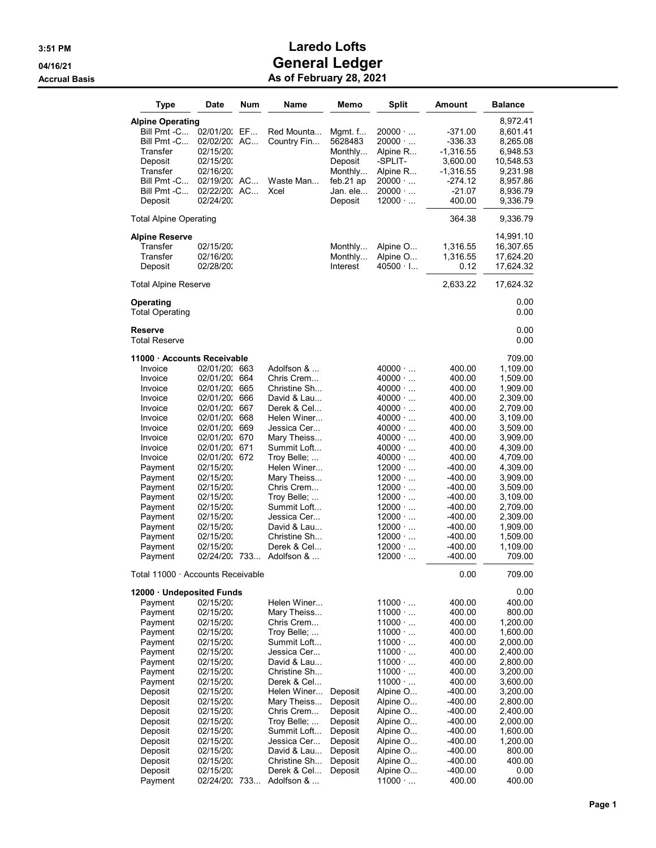| Type                                                                                                                                                                                                                            | Date                                                                                                                                                                                                                                                                                                         | <b>Num</b> | Name                                                                                                                                                                                                                                                                                                   | Memo                                                                                            | <b>Split</b>                                                                                                                                                                                                                                                                                                                                                         | Amount                                                                                                                                                                                                                         | <b>Balance</b>                                                                                                                                                                                                                             |
|---------------------------------------------------------------------------------------------------------------------------------------------------------------------------------------------------------------------------------|--------------------------------------------------------------------------------------------------------------------------------------------------------------------------------------------------------------------------------------------------------------------------------------------------------------|------------|--------------------------------------------------------------------------------------------------------------------------------------------------------------------------------------------------------------------------------------------------------------------------------------------------------|-------------------------------------------------------------------------------------------------|----------------------------------------------------------------------------------------------------------------------------------------------------------------------------------------------------------------------------------------------------------------------------------------------------------------------------------------------------------------------|--------------------------------------------------------------------------------------------------------------------------------------------------------------------------------------------------------------------------------|--------------------------------------------------------------------------------------------------------------------------------------------------------------------------------------------------------------------------------------------|
| <b>Alpine Operating</b><br>Bill Pmt -C<br>Bill Pmt -C<br>Transfer<br>Deposit<br>Transfer<br>Bill Pmt -C<br>Bill Pmt -C<br>Deposit                                                                                               | 02/01/20:<br>02/02/20: AC<br>02/15/20:<br>02/15/20:<br>02/16/20:<br>02/19/20: AC<br>02/22/20: AC<br>02/24/20:                                                                                                                                                                                                | EF         | Red Mounta<br>Country Fin<br>Waste Man<br>Xcel                                                                                                                                                                                                                                                         | Mgmt. $f$<br>5628483<br>Monthly<br>Deposit<br>Monthly<br>feb.21 ap<br>Jan. ele<br>Deposit       | 20000 $\cdot$<br>$20000 \cdot $<br>Alpine R<br>-SPLIT-<br>Alpine R<br>$20000 \cdot $<br>$20000 \cdot $<br>$12000 \cdot $                                                                                                                                                                                                                                             | $-371.00$<br>-336.33<br>-1,316.55<br>3,600.00<br>-1,316.55<br>-274.12<br>$-21.07$<br>400.00                                                                                                                                    | 8,972.41<br>8,601.41<br>8,265.08<br>6,948.53<br>10,548.53<br>9,231.98<br>8,957.86<br>8,936.79<br>9,336.79                                                                                                                                  |
| <b>Total Alpine Operating</b>                                                                                                                                                                                                   |                                                                                                                                                                                                                                                                                                              |            |                                                                                                                                                                                                                                                                                                        |                                                                                                 |                                                                                                                                                                                                                                                                                                                                                                      | 364.38                                                                                                                                                                                                                         | 9,336.79                                                                                                                                                                                                                                   |
| <b>Alpine Reserve</b><br>Transfer<br>Transfer<br>Deposit                                                                                                                                                                        | 02/15/20:<br>02/16/20:<br>02/28/20:                                                                                                                                                                                                                                                                          |            |                                                                                                                                                                                                                                                                                                        | Monthly<br>Monthly<br>Interest                                                                  | Alpine O<br>Alpine O<br>$40500 \cdot 1$                                                                                                                                                                                                                                                                                                                              | 1,316.55<br>1,316.55<br>0.12                                                                                                                                                                                                   | 14,991.10<br>16,307.65<br>17,624.20<br>17,624.32                                                                                                                                                                                           |
| <b>Total Alpine Reserve</b>                                                                                                                                                                                                     |                                                                                                                                                                                                                                                                                                              |            |                                                                                                                                                                                                                                                                                                        |                                                                                                 |                                                                                                                                                                                                                                                                                                                                                                      | 2,633.22                                                                                                                                                                                                                       | 17,624.32                                                                                                                                                                                                                                  |
| Operating<br><b>Total Operating</b>                                                                                                                                                                                             |                                                                                                                                                                                                                                                                                                              |            |                                                                                                                                                                                                                                                                                                        |                                                                                                 |                                                                                                                                                                                                                                                                                                                                                                      |                                                                                                                                                                                                                                | 0.00<br>0.00                                                                                                                                                                                                                               |
| <b>Reserve</b><br><b>Total Reserve</b>                                                                                                                                                                                          |                                                                                                                                                                                                                                                                                                              |            |                                                                                                                                                                                                                                                                                                        |                                                                                                 |                                                                                                                                                                                                                                                                                                                                                                      |                                                                                                                                                                                                                                | 0.00<br>0.00                                                                                                                                                                                                                               |
| 11000 Accounts Receivable                                                                                                                                                                                                       |                                                                                                                                                                                                                                                                                                              |            |                                                                                                                                                                                                                                                                                                        |                                                                                                 |                                                                                                                                                                                                                                                                                                                                                                      |                                                                                                                                                                                                                                | 709.00                                                                                                                                                                                                                                     |
| Invoice<br>Invoice<br>Invoice<br>Invoice<br>Invoice<br>Invoice<br>Invoice<br>Invoice<br>Invoice<br>Invoice<br>Payment<br>Payment<br>Payment<br>Payment<br>Payment<br>Payment<br>Payment<br>Payment<br>Payment<br>Payment        | 02/01/20: 663<br>02/01/20: 664<br>02/01/20: 665<br>02/01/20: 666<br>02/01/20: 667<br>02/01/20: 668<br>02/01/20: 669<br>02/01/20: 670<br>02/01/20: 671<br>02/01/20: 672<br>02/15/20:<br>02/15/20:<br>02/15/20:<br>02/15/20:<br>02/15/20:<br>02/15/20:<br>02/15/20:<br>02/15/20:<br>02/15/20:<br>02/24/20: 733 |            | Adolfson &<br>Chris Crem<br>Christine Sh<br>David & Lau<br>Derek & Cel<br>Helen Winer<br>Jessica Cer<br>Mary Theiss<br>Summit Loft<br>Troy Belle;<br>Helen Winer<br>Mary Theiss<br>Chris Crem<br>Troy Belle;<br>Summit Loft<br>Jessica Cer<br>David & Lau<br>Christine Sh<br>Derek & Cel<br>Adolfson & |                                                                                                 | $40000 \cdot $<br>$40000 \cdot $<br>$40000 \cdot $<br>$40000 \cdot $<br>$40000 \cdot $<br>$40000 \cdot $<br>$40000 \cdot $<br>$40000 \cdot $<br>$40000 \cdot $<br>$40000 \cdot $<br>$12000 \cdot $<br>$12000 \cdot $<br>$12000 \cdot $<br>$12000 \cdot $<br>$12000 \cdot $<br>$12000 \cdot $<br>$12000 \cdot $<br>$12000 \cdot $<br>$12000 \cdot $<br>$12000 \cdot $ | 400.00<br>400.00<br>400.00<br>400.00<br>400.00<br>400.00<br>400.00<br>400.00<br>400.00<br>400.00<br>$-400.00$<br>$-400.00$<br>-400.00<br>$-400.00$<br>$-400.00$<br>$-400.00$<br>$-400.00$<br>$-400.00$<br>$-400.00$<br>-400.00 | 1,109.00<br>1,509.00<br>1,909.00<br>2,309.00<br>2,709.00<br>3,109.00<br>3,509.00<br>3,909.00<br>4,309.00<br>4,709.00<br>4,309.00<br>3,909.00<br>3,509.00<br>3,109.00<br>2,709.00<br>2,309.00<br>1,909.00<br>1,509.00<br>1,109.00<br>709.00 |
| Total 11000 · Accounts Receivable                                                                                                                                                                                               |                                                                                                                                                                                                                                                                                                              |            |                                                                                                                                                                                                                                                                                                        |                                                                                                 |                                                                                                                                                                                                                                                                                                                                                                      | 0.00                                                                                                                                                                                                                           | 709.00                                                                                                                                                                                                                                     |
| 12000 · Undeposited Funds<br>Payment<br>Payment<br>Payment<br>Payment<br>Payment<br>Payment<br>Payment<br>Payment<br>Payment<br>Deposit<br>Deposit<br>Deposit<br>Deposit<br>Deposit<br>Deposit<br>Deposit<br>Deposit<br>Deposit | 02/15/20:<br>02/15/20:<br>02/15/20:<br>02/15/20:<br>02/15/20:<br>02/15/20:<br>02/15/20:<br>02/15/20:<br>02/15/20:<br>02/15/20:<br>02/15/20:<br>02/15/20:<br>02/15/20:<br>02/15/20:<br>02/15/20:<br>02/15/20:<br>02/15/20:<br>02/15/20:                                                                       |            | Helen Winer<br>Mary Theiss<br>Chris Crem<br>Troy Belle;<br>Summit Loft<br>Jessica Cer<br>David & Lau<br>Christine Sh<br>Derek & Cel<br>Helen Winer<br>Mary Theiss<br>Chris Crem<br>Troy Belle;<br>Summit Loft<br>Jessica Cer<br>David & Lau<br>Christine Sh<br>Derek & Cel                             | Deposit<br>Deposit<br>Deposit<br>Deposit<br>Deposit<br>Deposit<br>Deposit<br>Deposit<br>Deposit | $11000 \cdot $<br>$11000 \cdot $<br>$11000 \cdot $<br>11000<br>$11000 \cdot $<br>$11000 \cdot $<br>$11000 \cdot $<br>$11000 \cdot $<br>$11000 \cdot $<br>Alpine O<br>Alpine O<br>Alpine O<br>Alpine O<br>Alpine O<br>Alpine O<br>Alpine O<br>Alpine O<br>Alpine O                                                                                                    | 400.00<br>400.00<br>400.00<br>400.00<br>400.00<br>400.00<br>400.00<br>400.00<br>400.00<br>-400.00<br>$-400.00$<br>-400.00<br>$-400.00$<br>$-400.00$<br>$-400.00$<br>$-400.00$<br>$-400.00$<br>$-400.00$                        | 0.00<br>400.00<br>800.00<br>1,200.00<br>1,600.00<br>2,000.00<br>2,400.00<br>2,800.00<br>3,200.00<br>3,600.00<br>3,200.00<br>2,800.00<br>2,400.00<br>2,000.00<br>1,600.00<br>1,200.00<br>800.00<br>400.00<br>0.00                           |
| Payment                                                                                                                                                                                                                         | 02/24/20 733                                                                                                                                                                                                                                                                                                 |            | Adolfson &                                                                                                                                                                                                                                                                                             |                                                                                                 | $11000 \cdot $                                                                                                                                                                                                                                                                                                                                                       | 400.00                                                                                                                                                                                                                         | 400.00                                                                                                                                                                                                                                     |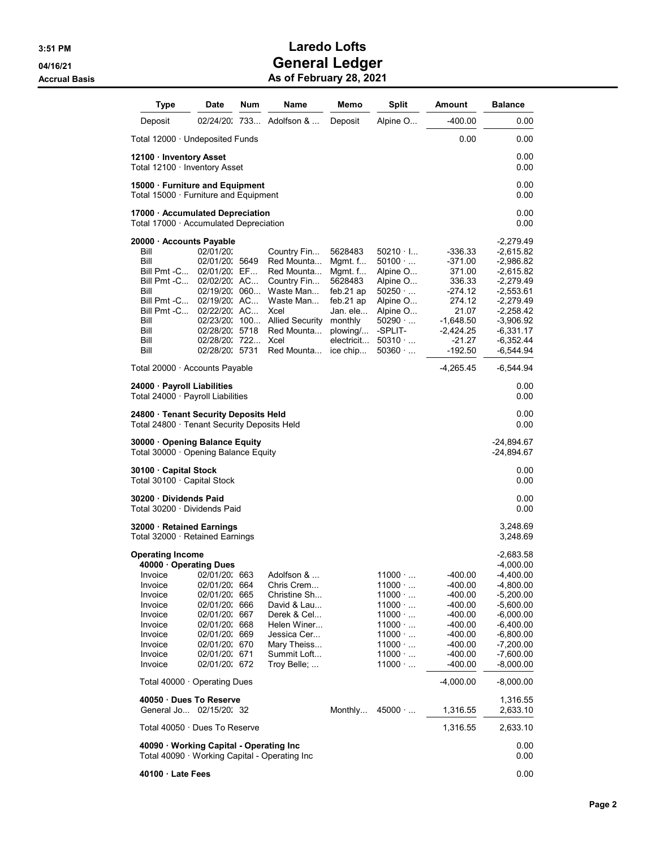| <b>Type</b>                                                                                                                                                                                                                                | Date                                                                                                                                                                              | Num | Name                                                                                                                                                   | Memo                                                                                                                                      | <b>Split</b>                                                                                                                                                                     | Amount                                                                                                                                        | <b>Balance</b>                                                                                                                                                                                        |
|--------------------------------------------------------------------------------------------------------------------------------------------------------------------------------------------------------------------------------------------|-----------------------------------------------------------------------------------------------------------------------------------------------------------------------------------|-----|--------------------------------------------------------------------------------------------------------------------------------------------------------|-------------------------------------------------------------------------------------------------------------------------------------------|----------------------------------------------------------------------------------------------------------------------------------------------------------------------------------|-----------------------------------------------------------------------------------------------------------------------------------------------|-------------------------------------------------------------------------------------------------------------------------------------------------------------------------------------------------------|
| Deposit                                                                                                                                                                                                                                    |                                                                                                                                                                                   |     | 02/24/20 733 Adolfson &                                                                                                                                | Deposit                                                                                                                                   | Alpine O                                                                                                                                                                         | -400.00                                                                                                                                       | $0.00\,$                                                                                                                                                                                              |
| Total 12000 $\cdot$ Undeposited Funds                                                                                                                                                                                                      |                                                                                                                                                                                   |     |                                                                                                                                                        |                                                                                                                                           |                                                                                                                                                                                  | 0.00                                                                                                                                          | 0.00                                                                                                                                                                                                  |
| 12100 · Inventory Asset<br>Total 12100 · Inventory Asset                                                                                                                                                                                   |                                                                                                                                                                                   |     |                                                                                                                                                        |                                                                                                                                           |                                                                                                                                                                                  |                                                                                                                                               | 0.00<br>0.00                                                                                                                                                                                          |
| 15000 · Furniture and Equipment<br>Total 15000 $\cdot$ Furniture and Equipment                                                                                                                                                             |                                                                                                                                                                                   |     |                                                                                                                                                        |                                                                                                                                           |                                                                                                                                                                                  |                                                                                                                                               | $0.00\,$<br>0.00                                                                                                                                                                                      |
| 17000 · Accumulated Depreciation<br>Total 17000 $\cdot$ Accumulated Depreciation                                                                                                                                                           |                                                                                                                                                                                   |     |                                                                                                                                                        |                                                                                                                                           |                                                                                                                                                                                  |                                                                                                                                               | 0.00<br>0.00                                                                                                                                                                                          |
| 20000 · Accounts Pavable<br>Bill<br>Bill<br>Bill Pmt -C<br>Bill Pmt -C<br>Bill<br>Bill Pmt -C<br>Bill Pmt -C<br>Bill<br>Bill<br>Bill<br>Bill                                                                                               | 02/01/20:<br>02/01/20: 5649<br>02/01/20: EF<br>02/02/20: AC<br>02/19/20:060<br>02/19/20: AC<br>02/22/20: AC<br>02/23/20: 100<br>02/28/20: 5718<br>02/28/20: 722<br>02/28/20: 5731 |     | Country Fin<br>Red Mounta<br>Red Mounta<br>Country Fin<br>Waste Man<br>Waste Man<br>Xcel<br><b>Allied Security</b><br>Red Mounta<br>Xcel<br>Red Mounta | 5628483<br>Mgmt. $f$<br>Mgmt. $f$<br>5628483<br>feb. $21$ ap<br>feb. $21$ ap<br>Jan. ele<br>monthly<br>plowing/<br>electricit<br>ice chip | $50210 \cdot$ I<br>$50100 \cdot $<br>Alpine O<br>Alpine O<br>50250<br>Alpine O<br>Alpine O<br>$50290 \cdot $<br>-SPLIT-<br>50310<br>$50360 \cdot $                               | -336.33<br>$-371.00$<br>371.00<br>336.33<br>$-274.12$<br>274.12<br>21.07<br>-1,648.50<br>$-2,424.25$<br>-21.27<br>$-192.50$                   | $-2,279.49$<br>$-2,615.82$<br>-2,986.82<br>$-2,615.82$<br>-2,279.49<br>-2,553.61<br>-2,279.49<br>-2,258.42<br>-3,906.92<br>-6,331.17<br>$-6,352.44$<br>-6,544.94                                      |
| Total 20000 · Accounts Payable                                                                                                                                                                                                             |                                                                                                                                                                                   |     |                                                                                                                                                        |                                                                                                                                           |                                                                                                                                                                                  | -4,265.45                                                                                                                                     | -6,544.94                                                                                                                                                                                             |
| 24000 · Payroll Liabilities<br>Total 24000 · Payroll Liabilities                                                                                                                                                                           |                                                                                                                                                                                   |     |                                                                                                                                                        |                                                                                                                                           |                                                                                                                                                                                  |                                                                                                                                               | 0.00<br>0.00                                                                                                                                                                                          |
| 24800 · Tenant Security Deposits Held<br>Total 24800 · Tenant Security Deposits Held                                                                                                                                                       |                                                                                                                                                                                   |     |                                                                                                                                                        |                                                                                                                                           |                                                                                                                                                                                  |                                                                                                                                               | 0.00<br>0.00                                                                                                                                                                                          |
| 30000 · Opening Balance Equity<br>Total 30000 · Opening Balance Equity                                                                                                                                                                     |                                                                                                                                                                                   |     |                                                                                                                                                        |                                                                                                                                           |                                                                                                                                                                                  |                                                                                                                                               | -24,894.67<br>-24,894.67                                                                                                                                                                              |
| 30100 · Capital Stock<br>Total 30100 · Capital Stock                                                                                                                                                                                       |                                                                                                                                                                                   |     |                                                                                                                                                        |                                                                                                                                           |                                                                                                                                                                                  |                                                                                                                                               | 0.00<br>0.00                                                                                                                                                                                          |
| 30200 · Dividends Paid<br>Total 30200 · Dividends Paid                                                                                                                                                                                     |                                                                                                                                                                                   |     |                                                                                                                                                        |                                                                                                                                           |                                                                                                                                                                                  |                                                                                                                                               | 0.00<br>0.00                                                                                                                                                                                          |
| 32000 · Retained Earnings<br>Total 32000 · Retained Earnings                                                                                                                                                                               |                                                                                                                                                                                   |     |                                                                                                                                                        |                                                                                                                                           |                                                                                                                                                                                  |                                                                                                                                               | 3,248.69<br>3,248.69                                                                                                                                                                                  |
| <b>Operating Income</b><br>40000 Operating Dues<br>Invoice 02/01/20: 663<br>Invoice<br>Invoice<br>Invoice<br>Invoice<br>Invoice<br>Invoice<br>Invoice<br>Invoice<br>Invoice<br>Total $40000 \cdot$ Operating Dues<br>40050 Dues To Reserve | 02/01/20: 664<br>02/01/20: 665<br>02/01/20: 666<br>02/01/20: 667<br>02/01/20: 668<br>02/01/20: 669<br>02/01/20: 670<br>02/01/20: 671<br>02/01/20: 672                             |     | Adolfson &<br>Chris Crem<br>Christine Sh<br>David & Lau<br>Derek & Cel<br>Helen Winer<br>Jessica Cer<br>Mary Theiss<br>Summit Loft<br>Troy Belle;      |                                                                                                                                           | $11000 \cdot $<br>$11000 \cdot $<br>$11000 \cdot $<br>$11000 \cdot $<br>$11000 \cdot $<br>$11000 \cdot $<br>$11000 \cdot $<br>$11000 \cdot $<br>$11000 \cdot $<br>$11000 \cdot $ | $-400.00$<br>$-400.00$<br>$-400.00$<br>$-400.00$<br>$-400.00$<br>$-400.00$<br>$-400.00$<br>$-400.00$<br>$-400.00$<br>$-400.00$<br>$-4,000.00$ | $-2,683.58$<br>-4,000.00<br>-4,400.00<br>$-4,800.00$<br>$-5,200.00$<br>$-5,600.00$<br>$-6,000.00$<br>$-6,400.00$<br>-6,800.00<br>$-7,200.00$<br>$-7,600.00$<br>$-8,000.00$<br>$-8,000.00$<br>1,316.55 |
| General Jo 02/15/20: 32                                                                                                                                                                                                                    |                                                                                                                                                                                   |     |                                                                                                                                                        | Monthly                                                                                                                                   | $45000 \cdot $                                                                                                                                                                   | 1,316.55                                                                                                                                      | 2,633.10                                                                                                                                                                                              |
| Total 40050 · Dues To Reserve                                                                                                                                                                                                              |                                                                                                                                                                                   |     |                                                                                                                                                        |                                                                                                                                           |                                                                                                                                                                                  | 1,316.55                                                                                                                                      | 2,633.10                                                                                                                                                                                              |
| 40090 Working Capital - Operating Inc<br>Total 40090 · Working Capital - Operating Inc                                                                                                                                                     |                                                                                                                                                                                   |     |                                                                                                                                                        |                                                                                                                                           |                                                                                                                                                                                  |                                                                                                                                               | 0.00<br>0.00                                                                                                                                                                                          |
| 40100 Late Fees                                                                                                                                                                                                                            |                                                                                                                                                                                   |     |                                                                                                                                                        |                                                                                                                                           |                                                                                                                                                                                  |                                                                                                                                               | 0.00                                                                                                                                                                                                  |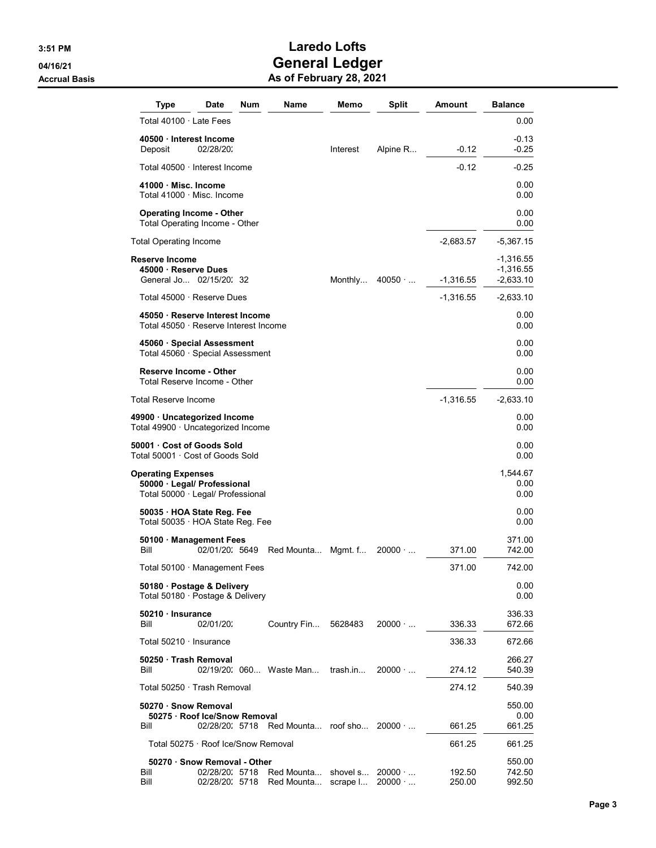| Type                                                                                   | Date                             | Num | Name                                     | Memo                 | <b>Split</b>                     | Amount           | <b>Balance</b>             |
|----------------------------------------------------------------------------------------|----------------------------------|-----|------------------------------------------|----------------------|----------------------------------|------------------|----------------------------|
| Total 40100 · Late Fees                                                                |                                  |     |                                          |                      |                                  |                  | 0.00                       |
| 40500 Interest Income<br>Deposit                                                       | 02/28/20:                        |     |                                          | Interest             | Alpine R                         | $-0.12$          | $-0.13$<br>$-0.25$         |
| Total 40500 · Interest Income                                                          |                                  |     |                                          |                      |                                  | $-0.12$          | $-0.25$                    |
| 41000 · Misc. Income<br>Total 41000 · Misc. Income                                     |                                  |     |                                          |                      |                                  |                  | 0.00<br>0.00               |
| <b>Operating Income - Other</b><br>Total Operating Income - Other                      |                                  |     |                                          |                      |                                  |                  | 0.00<br>0.00               |
| Total Operating Income                                                                 |                                  |     |                                          |                      |                                  | $-2,683.57$      | -5,367.15                  |
| Reserve Income                                                                         |                                  |     |                                          |                      |                                  |                  | -1,316.55                  |
| 45000 · Reserve Dues<br>General Jo 02/15/20: 32                                        |                                  |     |                                          | Monthly              | 40050                            | $-1,316.55$      | $-1,316.55$<br>$-2,633.10$ |
| Total 45000 · Reserve Dues                                                             |                                  |     |                                          |                      |                                  | $-1,316.55$      | -2,633.10                  |
| 45050 Reserve Interest Income<br>Total 45050 · Reserve Interest Income                 |                                  |     |                                          |                      |                                  |                  | 0.00<br>0.00               |
| 45060 · Special Assessment<br>Total 45060 · Special Assessment                         |                                  |     |                                          |                      |                                  |                  | 0.00<br>0.00               |
| <b>Reserve Income - Other</b><br>Total Reserve Income - Other                          |                                  |     |                                          |                      |                                  |                  | 0.00<br>0.00               |
| Total Reserve Income                                                                   |                                  |     |                                          |                      |                                  | $-1,316.55$      | -2,633.10                  |
| 49900 · Uncategorized Income<br>Total 49900 · Uncategorized Income                     |                                  |     |                                          |                      |                                  |                  | 0.00<br>0.00               |
| 50001 Cost of Goods Sold<br>Total 50001 · Cost of Goods Sold                           |                                  |     |                                          |                      |                                  |                  | 0.00<br>0.00               |
| Operating Expenses<br>50000 · Legal/ Professional<br>Total 50000 · Legal/ Professional |                                  |     |                                          |                      |                                  |                  | 1,544.67<br>0.00<br>0.00   |
| 50035 HOA State Reg. Fee<br>Total 50035 · HOA State Reg. Fee                           |                                  |     |                                          |                      |                                  |                  | 0.00<br>0.00               |
| 50100 Management Fees<br>Bill                                                          | 02/01/20: 5649                   |     | Red Mounta Mgmt. f                       |                      | $20000 \cdot $                   | 371.00           | 371.00<br>742.00           |
| Total 50100 $\cdot$ Management Fees                                                    |                                  |     |                                          |                      |                                  | 371.00           | 742.00                     |
| 50180 · Postage & Delivery<br>Total 50180 · Postage & Delivery                         |                                  |     |                                          |                      |                                  |                  | 0.00<br>0.00               |
| 50210 Insurance<br>Bill                                                                | 02/01/20:                        |     | Country Fin                              | 5628483              | $20000 \cdot $                   | 336.33           | 336.33<br>672.66           |
| Total 50210 · Insurance                                                                |                                  |     |                                          |                      |                                  | 336.33           | 672.66                     |
| 50250 Trash Removal<br>Bill                                                            |                                  |     | 02/19/20, 060 Waste Man trash.in         |                      | $20000 \cdot $                   | 274.12           | 266.27<br>540.39           |
| Total 50250 · Trash Removal                                                            |                                  |     |                                          |                      |                                  | 274.12           | 540.39                     |
| 50270 · Snow Removal                                                                   |                                  |     |                                          |                      |                                  |                  | 550.00                     |
| 50275 · Roof Ice/Snow Removal<br>Bill                                                  |                                  |     | 02/28/20: 5718 Red Mounta roof sho 20000 |                      |                                  | 661.25           | 0.00<br>661.25             |
| Total 50275 · Roof Ice/Snow Removal                                                    |                                  |     |                                          |                      |                                  | 661.25           | 661.25                     |
| 50270 · Snow Removal - Other<br>Bill<br>Bill                                           | 02/28/20: 5718<br>02/28/20: 5718 |     | Red Mounta<br>Red Mounta                 | shovel s<br>scrape I | $20000 \cdot $<br>$20000 \cdot $ | 192.50<br>250.00 | 550.00<br>742.50<br>992.50 |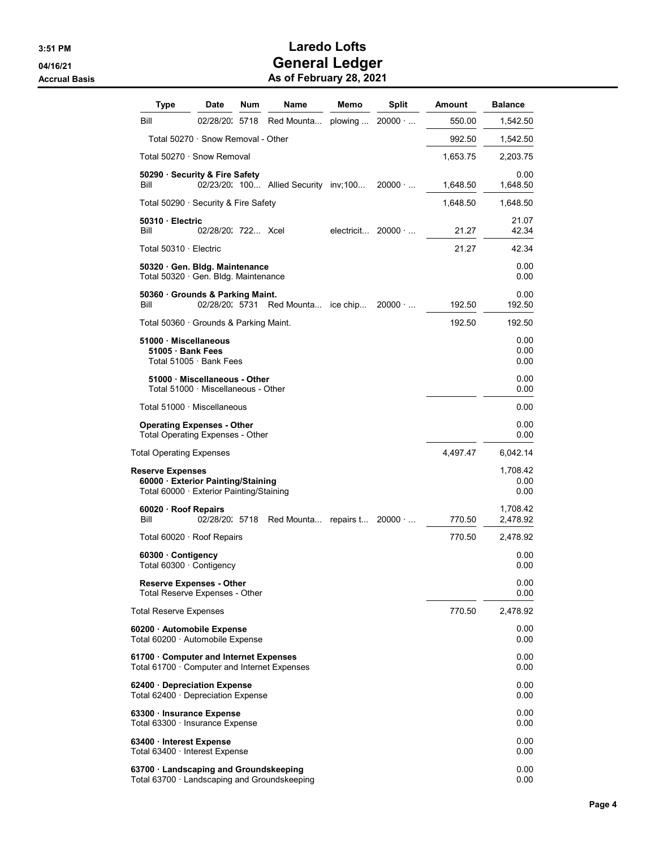| Type                                                                                                    | Date                                                               | Num | <b>Name</b>                           | Memo    | Split                     | Amount   | <b>Balance</b>           |
|---------------------------------------------------------------------------------------------------------|--------------------------------------------------------------------|-----|---------------------------------------|---------|---------------------------|----------|--------------------------|
| Bill                                                                                                    | 02/28/20: 5718                                                     |     | Red Mounta                            | plowing | $20000 \cdot $            | 550.00   | 1,542.50                 |
|                                                                                                         | Total 50270 · Snow Removal - Other                                 |     |                                       |         |                           | 992.50   | 1,542.50                 |
| Total 50270 · Snow Removal                                                                              |                                                                    |     |                                       |         |                           | 1,653.75 | 2,203.75                 |
| 50290 · Security & Fire Safety<br>Bill                                                                  |                                                                    |     | 02/23/20: 100 Allied Security inv;100 |         | $20000 \cdot $            | 1,648.50 | 0.00<br>1,648.50         |
| Total 50290 · Security & Fire Safety                                                                    |                                                                    |     |                                       |         |                           | 1,648.50 | 1,648.50                 |
| 50310 Electric<br>Bill                                                                                  | 02/28/20: 722 Xcel                                                 |     |                                       |         | electricit $20000 \cdot $ | 21.27    | 21.07<br>42.34           |
| Total 50310 · Electric                                                                                  |                                                                    |     |                                       |         |                           | 21.27    | 42.34                    |
| 50320 Gen. Bldg. Maintenance<br>Total 50320 Gen. Bldg. Maintenance                                      |                                                                    |     |                                       |         |                           |          | 0.00<br>0.00             |
| 50360 Grounds & Parking Maint.<br>Bill                                                                  | 02/28/20: 5731                                                     |     | Red Mounta ice chip                   |         | $20000 \cdot $            | 192.50   | 0.00<br>192.50           |
| Total 50360 · Grounds & Parking Maint.                                                                  |                                                                    |     |                                       |         |                           | 192.50   | 192.50                   |
| 51000 Miscellaneous<br>51005 · Bank Fees                                                                | Total 51005 · Bank Fees                                            |     |                                       |         |                           |          | 0.00<br>0.00<br>0.00     |
|                                                                                                         | 51000 Miscellaneous - Other<br>Total 51000 · Miscellaneous - Other |     |                                       |         |                           |          | 0.00<br>0.00             |
| Total 51000 · Miscellaneous                                                                             |                                                                    |     |                                       |         |                           |          | 0.00                     |
| <b>Operating Expenses - Other</b><br><b>Total Operating Expenses - Other</b>                            |                                                                    |     |                                       |         |                           |          | 0.00<br>0.00             |
| Total Operating Expenses                                                                                |                                                                    |     |                                       |         |                           | 4,497.47 | 6,042.14                 |
| <b>Reserve Expenses</b><br>60000 Exterior Painting/Staining<br>Total 60000 · Exterior Painting/Staining |                                                                    |     |                                       |         |                           |          | 1,708.42<br>0.00<br>0.00 |
| 60020 · Roof Repairs<br>Bill                                                                            | 02/28/20: 5718                                                     |     | Red Mounta repairs t                  |         | $20000 \cdot $            | 770.50   | 1,708.42<br>2,478.92     |
| Total 60020 · Roof Repairs                                                                              |                                                                    |     |                                       |         |                           | 770.50   | 2,478.92                 |
| 60300 Contigency<br>Total 60300 · Contigency                                                            |                                                                    |     |                                       |         |                           |          | 0.00<br>0.00             |
| <b>Reserve Expenses - Other</b><br><b>Total Reserve Expenses - Other</b>                                |                                                                    |     |                                       |         |                           |          | $0.00\,$<br>0.00         |
| <b>Total Reserve Expenses</b>                                                                           |                                                                    |     |                                       |         |                           | 770.50   | 2,478.92                 |
| 60200 · Automobile Expense<br>Total 60200 · Automobile Expense                                          |                                                                    |     |                                       |         |                           |          | $0.00\,$<br>0.00         |
| 61700 · Computer and Internet Expenses<br>Total 61700 $\cdot$ Computer and Internet Expenses            |                                                                    |     |                                       |         |                           |          | 0.00<br>0.00             |
| 62400 Depreciation Expense<br>Total 62400 $\cdot$ Depreciation Expense                                  |                                                                    |     |                                       |         |                           |          | $0.00\,$<br>0.00         |
| 63300 · Insurance Expense<br>Total 63300 · Insurance Expense                                            |                                                                    |     |                                       |         |                           |          | 0.00<br>0.00             |
| 63400 · Interest Expense<br>Total 63400 · Interest Expense                                              |                                                                    |     |                                       |         |                           |          | $0.00\,$<br>0.00         |
| 63700 · Landscaping and Groundskeeping<br>Total 63700 · Landscaping and Groundskeeping                  |                                                                    |     |                                       |         |                           |          | 0.00<br>0.00             |